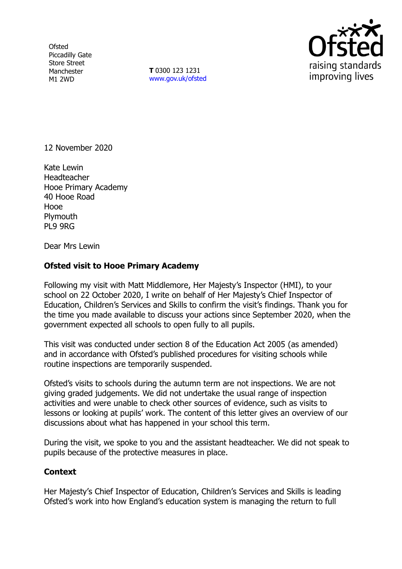**Ofsted** Piccadilly Gate Store Street Manchester M1 2WD

**T** 0300 123 1231 [www.gov.uk/ofsted](http://www.gov.uk/ofsted)



12 November 2020

Kate Lewin Headteacher Hooe Primary Academy 40 Hooe Road Hooe Plymouth PL9 9RG

Dear Mrs Lewin

## **Ofsted visit to Hooe Primary Academy**

Following my visit with Matt Middlemore, Her Majesty's Inspector (HMI), to your school on 22 October 2020, I write on behalf of Her Majesty's Chief Inspector of Education, Children's Services and Skills to confirm the visit's findings. Thank you for the time you made available to discuss your actions since September 2020, when the government expected all schools to open fully to all pupils.

This visit was conducted under section 8 of the Education Act 2005 (as amended) and in accordance with Ofsted's published procedures for visiting schools while routine inspections are temporarily suspended.

Ofsted's visits to schools during the autumn term are not inspections. We are not giving graded judgements. We did not undertake the usual range of inspection activities and were unable to check other sources of evidence, such as visits to lessons or looking at pupils' work. The content of this letter gives an overview of our discussions about what has happened in your school this term.

During the visit, we spoke to you and the assistant headteacher. We did not speak to pupils because of the protective measures in place.

## **Context**

Her Majesty's Chief Inspector of Education, Children's Services and Skills is leading Ofsted's work into how England's education system is managing the return to full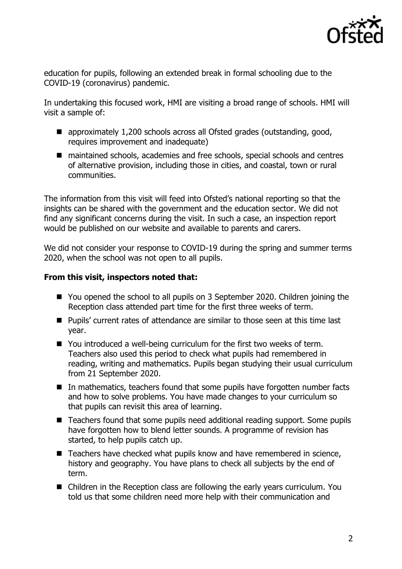

education for pupils, following an extended break in formal schooling due to the COVID-19 (coronavirus) pandemic.

In undertaking this focused work, HMI are visiting a broad range of schools. HMI will visit a sample of:

- approximately 1,200 schools across all Ofsted grades (outstanding, good, requires improvement and inadequate)
- maintained schools, academies and free schools, special schools and centres of alternative provision, including those in cities, and coastal, town or rural communities.

The information from this visit will feed into Ofsted's national reporting so that the insights can be shared with the government and the education sector. We did not find any significant concerns during the visit. In such a case, an inspection report would be published on our website and available to parents and carers.

We did not consider your response to COVID-19 during the spring and summer terms 2020, when the school was not open to all pupils.

## **From this visit, inspectors noted that:**

- You opened the school to all pupils on 3 September 2020. Children joining the Reception class attended part time for the first three weeks of term.
- Pupils' current rates of attendance are similar to those seen at this time last year.
- You introduced a well-being curriculum for the first two weeks of term. Teachers also used this period to check what pupils had remembered in reading, writing and mathematics. Pupils began studying their usual curriculum from 21 September 2020.
- In mathematics, teachers found that some pupils have forgotten number facts and how to solve problems. You have made changes to your curriculum so that pupils can revisit this area of learning.
- Teachers found that some pupils need additional reading support. Some pupils have forgotten how to blend letter sounds. A programme of revision has started, to help pupils catch up.
- Teachers have checked what pupils know and have remembered in science, history and geography. You have plans to check all subjects by the end of term.
- Children in the Reception class are following the early years curriculum. You told us that some children need more help with their communication and